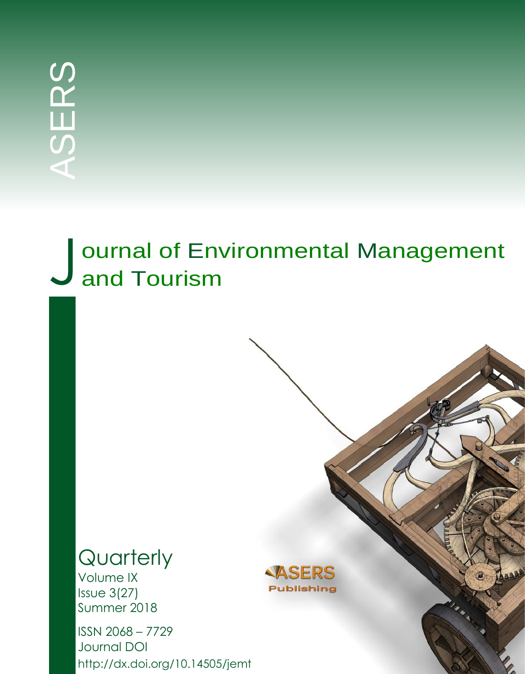# J ournal of Env<br>J and Tourism ournal of Environmental Management

## **Quarterly**

Volume IX Issue 3(27) Summer 2018

ISSN 2068 – 7729 Journal DOI http://dx.doi.org/10.14505/jemt

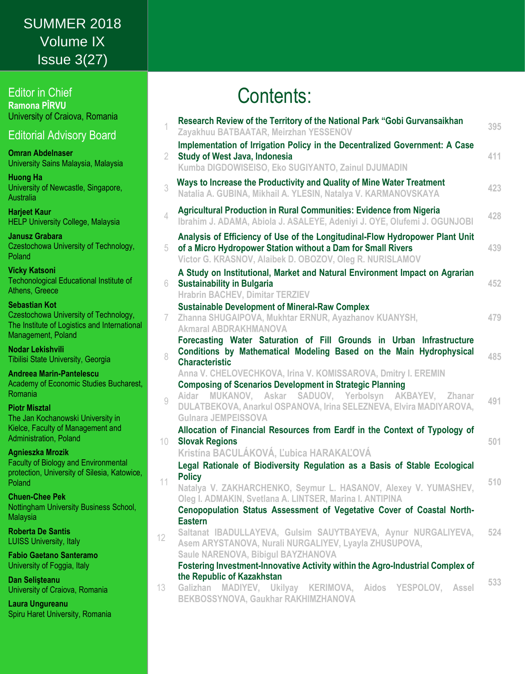## *Journal of Environmental Management and Tourism* Volume IX SUMMER 2018 Issue 3(27)

Editor in Chief **Ramona PÎRVU** University of Craiova, Romania

Editorial Advisory Board

**Omran Abdelnaser** University Sains Malaysia, Malaysia

**Huong Ha** University of Newcastle, Singapore, **Australia** 

**Harjeet Kaur** HELP University College, Malaysia

**Janusz Grabara** Czestochowa University of Technology, Poland

**Vicky Katsoni** Techonological Educational Institute of Athens, Greece

**Sebastian Kot** Czestochowa University of Technology, The Institute of Logistics and International Management, Poland

**Nodar Lekishvili** Tibilisi State University, Georgia

**Andreea Marin-Pantelescu** Academy of Economic Studies Bucharest, Romania

**Piotr Misztal**

The Jan Kochanowski University in Kielce, Faculty of Management and Administration, Poland

#### **Agnieszka Mrozik**

Faculty of Biology and Environmental protection, University of Silesia, Katowice, Poland

**Chuen-Chee Pek** Nottingham University Business School, Malaysia

**Roberta De Santis** LUISS University, Italy

**Fabio Gaetano Santeramo** University of Foggia, Italy

**Dan Selişteanu** University of Craiova, Romania

**Laura Ungureanu**  Spiru Haret University, Romania

## Contents:

| 1            | Research Review of the Territory of the National Park "Gobi Gurvansaikhan<br>Zayakhuu BATBAATAR, Meirzhan YESSENOV                                                                                                                                                                                   | 395 |
|--------------|------------------------------------------------------------------------------------------------------------------------------------------------------------------------------------------------------------------------------------------------------------------------------------------------------|-----|
| 2.           | Implementation of Irrigation Policy in the Decentralized Government: A Case<br>Study of West Java, Indonesia<br>Kumba DIGDOWISEISO, Eko SUGIYANTO, Zainul DJUMADIN                                                                                                                                   | 411 |
| 3            | Ways to Increase the Productivity and Quality of Mine Water Treatment<br>Natalia A. GUBINA, Mikhail A. YLESIN, Natalya V. KARMANOVSKAYA                                                                                                                                                              | 423 |
| 4            | <b>Agricultural Production in Rural Communities: Evidence from Nigeria</b><br>Ibrahim J. ADAMA, Abiola J. ASALEYE, Adeniyi J. OYE, Olufemi J. OGUNJOBI                                                                                                                                               | 428 |
| 5            | Analysis of Efficiency of Use of the Longitudinal-Flow Hydropower Plant Unit<br>of a Micro Hydropower Station without a Dam for Small Rivers<br>Victor G. KRASNOV, Alaibek D. OBOZOV, Oleg R. NURISLAMOV                                                                                             | 439 |
| 6            | A Study on Institutional, Market and Natural Environment Impact on Agrarian<br><b>Sustainability in Bulgaria</b><br><b>Hrabrin BACHEV, Dimitar TERZIEV</b>                                                                                                                                           | 452 |
| 7            | <b>Sustainable Development of Mineral-Raw Complex</b><br>Zhanna SHUGAIPOVA, Mukhtar ERNUR, Ayazhanov KUANYSH,<br><b>Akmaral ABDRAKHMANOVA</b>                                                                                                                                                        | 479 |
| 8            | Forecasting Water Saturation of Fill Grounds in Urban Infrastructure<br>Conditions by Mathematical Modeling Based on the Main Hydrophysical<br><b>Characteristic</b><br>Anna V. CHELOVECHKOVA, Irina V. KOMISSAROVA, Dmitry I. EREMIN                                                                | 485 |
| $\mathcal G$ | <b>Composing of Scenarios Development in Strategic Planning</b><br>Aidar MUKANOV, Askar SADUOV, Yerbolsyn AKBAYEV, Zhanar<br>DULATBEKOVA, Anarkul OSPANOVA, Irina SELEZNEVA, Elvira MADIYAROVA,<br><b>Gulnara JEMPEISSOVA</b>                                                                        | 491 |
| 10           | Allocation of Financial Resources from Eardf in the Context of Typology of<br><b>Slovak Regions</b><br>Kristína BACULÁKOVÁ, Ľubica HARAKAĽOVÁ                                                                                                                                                        | 501 |
| 11           | Legal Rationale of Biodiversity Regulation as a Basis of Stable Ecological<br><b>Policy</b><br>Natalya V. ZAKHARCHENKO, Seymur L. HASANOV, Alexey V. YUMASHEV,<br>Oleg I. ADMAKIN, Svetlana A. LINTSER, Marina I. ANTIPINA<br>Cenopopulation Status Assessment of Vegetative Cover of Coastal North- | 510 |
| 12           | <b>Eastern</b><br>Saltanat IBADULLAYEVA, Gulsim SAUYTBAYEVA, Aynur NURGALIYEVA,<br>Asem ARYSTANOVA, Nurali NURGALIYEV, Lyayla ZHUSUPOVA,<br>Saule NARENOVA, Bibigul BAYZHANOVA                                                                                                                       | 524 |
| 13           | Fostering Investment-Innovative Activity within the Agro-Industrial Complex of<br>the Republic of Kazakhstan<br>Galizhan MADIYEV, Ukilyay KERIMOVA, Aidos YESPOLOV, Assel<br>BEKBOSSYNOVA, Gaukhar RAKHIMZHANOVA                                                                                     | 533 |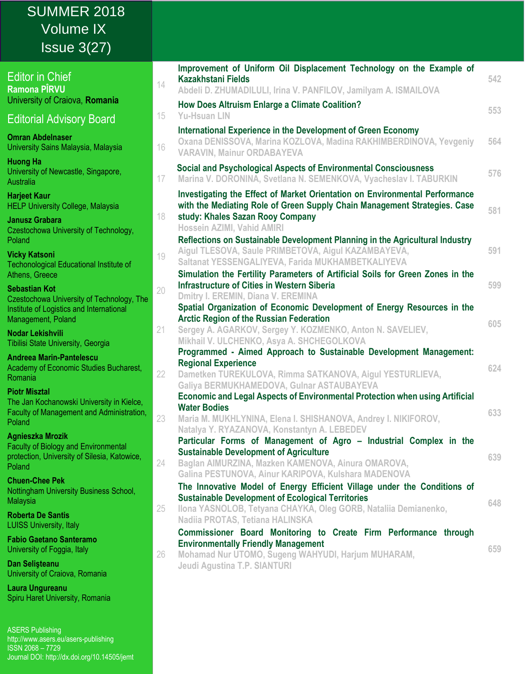| <b>SUMMER 2018</b><br><b>Volume IX</b><br>Is sue 3(27)                                                         |                                                                                                                                                                                                                          |     |
|----------------------------------------------------------------------------------------------------------------|--------------------------------------------------------------------------------------------------------------------------------------------------------------------------------------------------------------------------|-----|
| <b>Editor in Chief</b><br>Ramona PÎRVU<br>University of Craiova, Romania                                       | Improvement of Uniform Oil Displacement Technology on the Example of<br><b>Kazakhstani Fields</b><br>14<br>Abdeli D. ZHUMADILULI, Irina V. PANFILOV, Jamilyam A. ISMAILOVA                                               | 542 |
| <b>Editorial Advisory Board</b>                                                                                | <b>How Does Altruism Enlarge a Climate Coalition?</b><br><b>Yu-Hsuan LIN</b><br>15                                                                                                                                       | 553 |
| <b>Omran Abdelnaser</b><br>University Sains Malaysia, Malaysia                                                 | International Experience in the Development of Green Economy<br>Oxana DENISSOVA, Marina KOZLOVA, Madina RAKHIMBERDINOVA, Yevgeniy<br>16<br><b>VARAVIN, Mainur ORDABAYEVA</b>                                             | 564 |
| <b>Huong Ha</b><br>University of Newcastle, Singapore,<br>Australia                                            | Social and Psychological Aspects of Environmental Consciousness<br>Marina V. DORONINA, Svetlana N. SEMENKOVA, Vyacheslav I. TABURKIN<br>17                                                                               | 576 |
| <b>Harjeet Kaur</b><br><b>HELP University College, Malaysia</b><br><b>Janusz Grabara</b>                       | Investigating the Effect of Market Orientation on Environmental Performance<br>with the Mediating Role of Green Supply Chain Management Strategies. Case<br>study: Khales Sazan Rooy Company<br>18                       | 581 |
| Czestochowa University of Technology,<br>Poland<br><b>Vicky Katsoni</b>                                        | Hossein AZIMI, Vahid AMIRI<br>Reflections on Sustainable Development Planning in the Agricultural Industry<br>Aigul TLESOVA, Saule PRIMBETOVA, Aigul KAZAMBAYEVA,                                                        | 591 |
| <b>Techonological Educational Institute of</b><br>Athens, Greece                                               | 19<br>Saltanat YESSENGALIYEVA, Farida MUKHAMBETKALIYEVA<br>Simulation the Fertility Parameters of Artificial Soils for Green Zones in the<br><b>Infrastructure of Cities in Western Siberia</b>                          | 599 |
| <b>Sebastian Kot</b><br>Czestochowa University of Technology, The<br>Institute of Logistics and International  | 20<br>Dmitry I. EREMIN, Diana V. EREMINA<br>Spatial Organization of Economic Development of Energy Resources in the<br><b>Arctic Region of the Russian Federation</b>                                                    |     |
| Management, Poland<br>Nodar Lekishvili<br>Tibilisi State University, Georgia                                   | Sergey A. AGARKOV, Sergey Y. KOZMENKO, Anton N. SAVELIEV,<br>21<br>Mikhail V. ULCHENKO, Asya A. SHCHEGOLKOVA                                                                                                             | 605 |
| <b>Andreea Marin-Pantelescu</b><br>Academy of Economic Studies Bucharest,<br>Romania                           | Programmed - Aimed Approach to Sustainable Development Management:<br><b>Regional Experience</b><br>Dametken TUREKULOVA, Rimma SATKANOVA, Aigul YESTURLIEVA,<br>22                                                       | 624 |
| <b>Piotr Misztal</b><br>The Jan Kochanowski University in Kielce,<br>Faculty of Management and Administration, | Galiya BERMUKHAMEDOVA, Gulnar ASTAUBAYEVA<br>Economic and Legal Aspects of Environmental Protection when using Artificial<br><b>Water Bodies</b><br>23<br>Maria M. MUKHLYNINA, Elena I. SHISHANOVA, Andrey I. NIKIFOROV, | 633 |
| Poland<br><b>Agnieszka Mrozik</b><br><b>Faculty of Biology and Environmental</b>                               | Natalya Y. RYAZANOVA, Konstantyn A. LEBEDEV<br>Particular Forms of Management of Agro - Industrial Complex in the<br><b>Sustainable Development of Agriculture</b>                                                       |     |
| protection, University of Silesia, Katowice,<br>Poland<br><b>Chuen-Chee Pek</b>                                | Baglan AIMURZINA, Mazken KAMENOVA, Ainura OMAROVA,<br>24<br>Galina PESTUNOVA, Ainur KARIPOVA, Kulshara MADENOVA                                                                                                          | 639 |
| Nottingham University Business School,<br>Malaysia                                                             | The Innovative Model of Energy Efficient Village under the Conditions of<br><b>Sustainable Development of Ecological Territories</b><br>Ilona YASNOLOB, Tetyana CHAYKA, Oleg GORB, Natalija Demianenko,<br>25            | 648 |
| <b>Roberta De Santis</b><br><b>LUISS University, Italy</b>                                                     | Nadiia PROTAS, Tetiana HALINSKA                                                                                                                                                                                          |     |
| <b>Fabio Gaetano Santeramo</b><br>University of Foggia, Italy                                                  | Commissioner Board Monitoring to Create Firm Performance through<br><b>Environmentally Friendly Management</b><br>Mohamad Nur UTOMO, Sugeng WAHYUDI, Harjum MUHARAM,<br>26                                               | 659 |
| Dan Selisteanu<br>University of Craiova, Romania                                                               | Jeudi Agustina T.P. SIANTURI                                                                                                                                                                                             |     |
| Laura Ungureanu<br>Spiru Haret University, Romania                                                             |                                                                                                                                                                                                                          |     |
| <b>ASERS Publishing</b>                                                                                        |                                                                                                                                                                                                                          |     |

http://www.asers.eu/asers-publishing

Journal DOI: http://dx.doi.org/10.14505/jemt

ISSN 2068 – 7729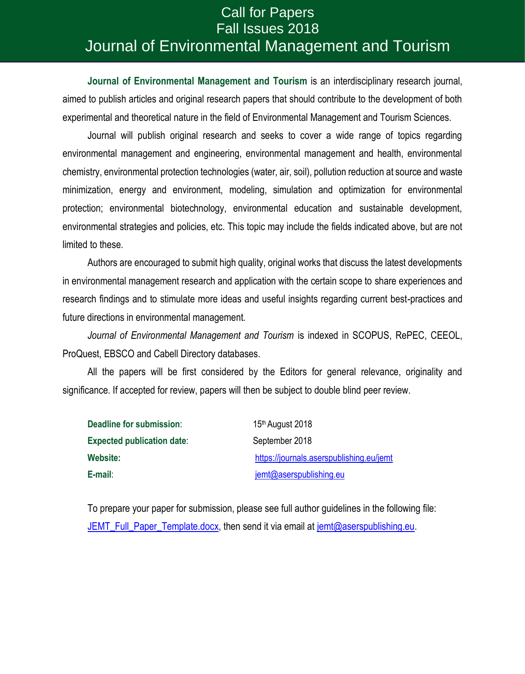### *Journal of Environmental Management and Tourism* Journal of Environmental Management and TourismCall for Papers Fall Issues 2018

**Journal of Environmental Management and Tourism** is an interdisciplinary research journal, aimed to publish articles and original research papers that should contribute to the development of both experimental and theoretical nature in the field of Environmental Management and Tourism Sciences.

Journal will publish original research and seeks to cover a wide range of topics regarding environmental management and engineering, environmental management and health, environmental chemistry, environmental protection technologies (water, air, soil), pollution reduction at source and waste minimization, energy and environment, modeling, simulation and optimization for environmental protection; environmental biotechnology, environmental education and sustainable development, environmental strategies and policies, etc. This topic may include the fields indicated above, but are not limited to these.

Authors are encouraged to submit high quality, original works that discuss the latest developments in environmental management research and application with the certain scope to share experiences and research findings and to stimulate more ideas and useful insights regarding current best-practices and future directions in environmental management.

*Journal of Environmental Management and Tourism* is indexed in SCOPUS, RePEC, CEEOL, ProQuest, [EBSCO](http://www.ebsco.com/) and Cabell Directory databases.

All the papers will be first considered by the Editors for general relevance, originality and significance. If accepted for review, papers will then be subject to double blind peer review.

| Deadline for submission:          | 15 <sup>th</sup> August 2018             |  |  |  |
|-----------------------------------|------------------------------------------|--|--|--|
| <b>Expected publication date:</b> | September 2018                           |  |  |  |
| Website:                          | https://journals.aserspublishing.eu/jemt |  |  |  |
| E-mail:                           | jemt@aserspublishing.eu                  |  |  |  |

To prepare your paper for submission, please see full author guidelines in the following file: JEMT Full Paper Template.docx, then send it via email at [jemt@aserspublishing.eu.](mailto:jemt@aserspublishing.eu)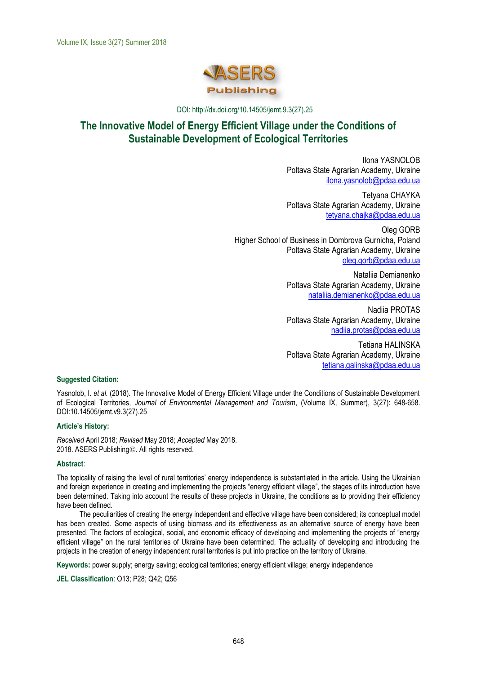

DOI: http://dx.doi.org/10.14505/jemt.9.3(27).25

### The Innovative Model of Energy Efficient Village under the Conditions of **Sustainable Development of Ecological Territories**

Ilona YASNOLOB Poltava State Agrarian Academy, Ukraine [ilona.yasnolob@pdaa.edu.ua](mailto:ilona.yasnolob@pdaa.edu.ua)

Tetyana CHAYKA Poltava State Agrarian Academy, Ukraine [tetyana.chajka@pdaa.edu.ua](mailto:tetyana.chajka@pdaa.edu.ua)

Oleg GORB Higher School of Business in Dombrova Gurnicha, Poland Poltava State Agrarian Academy, Ukraine [oleg.gorb@pdaa.edu.ua](mailto:oleg.gorb@pdaa.edu.ua)

> Nataliia Demianenko Poltava State Agrarian Academy, Ukraine [nataliia.demianenko@pdaa.edu.ua](mailto:nataliia.demianenko@pdaa.edu.ua)

> Nadiia PROTAS Poltava State Agrarian Academy, Ukraine [nadiia.protas@pdaa.edu.ua](mailto:nadiia.protas@pdaa.edu.ua)

> Tetіana HALINSKA Poltava State Agrarian Academy, Ukraine [tetiana.galinska@pdaa.edu.ua](mailto:tetiana.galinska@pdaa.edu.ua)

#### **Suggested Citation:**

Yasnolob, I. *et al.* (2018). The Innovative Model of Energy Efficient Village under the Conditions of Sustainable Development of Ecological Territories, *Journal of Environmental Management and Tourism*, (Volume IX, Summer), 3(27): 648-658. DOI:10.14505/jemt.v9.3(27).25

#### **Article's History:**

*Received* April 2018; *Revised* May 2018; *Accepted* May 2018. 2018. ASERS Publishing. All rights reserved.

#### **Abstract**:

The topicality of raising the level of rural territories' energy independence is substantiated in the article. Using the Ukrainian and foreign experience in creating and implementing the projects "energy efficient village", the stages of its introduction have been determined. Taking into account the results of these projects in Ukraine, the conditions as to providing their efficiency have been defined.

The peculiarities of creating the energy independent and effective village have been considered; its conceptual model has been created. Some aspects of using biomass and its effectiveness as an alternative source of energy have been presented. The factors of ecological, social, and economic efficacy of developing and implementing the projects of "energy efficient village" on the rural territories of Ukraine have been determined. The actuality of developing and introducing the projects in the creation of energy independent rural territories is put into practice on the territory of Ukraine.

**Keywords:** power supply; energy saving; ecological territories; energy efficient village; energy independence

**JEL Classification**: O13; P28; Q42; Q56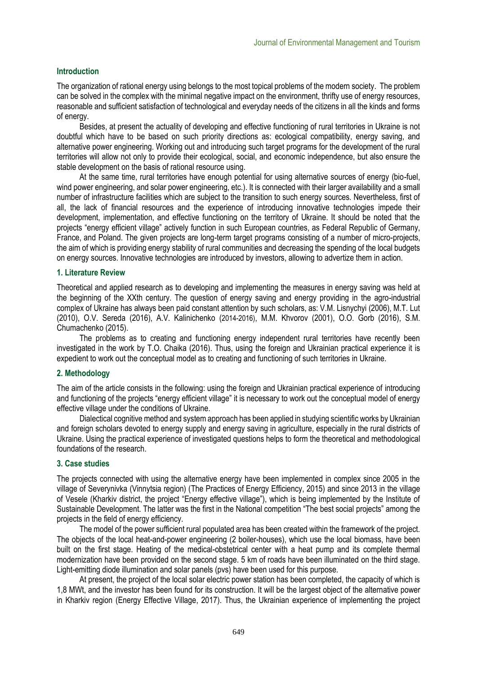#### **Introduction**

The organization of rational energy using belongs to the most topical problems of the modern society. The problem can be solved in the complex with the minimal negative impact on the environment, thrifty use of energy resources, reasonable and sufficient satisfaction of technological and everyday needs of the citizens in all the kinds and forms of energy.

Besides, at present the actuality of developing and effective functioning of rural territories in Ukraine is not doubtful which have to be based on such priority directions as: ecological compatibility, energy saving, and alternative power engineering. Working out and introducing such target programs for the development of the rural territories will allow not only to provide their ecological, social, and economic independence, but also ensure the stable development on the basis of rational resource using.

At the same time, rural territories have enough potential for using alternative sources of energy (bio-fuel, wind power engineering, and solar power engineering, etc.). It is connected with their larger availability and a small number of infrastructure facilities which are subject to the transition to such energy sources. Nevertheless, first of all, the lack of financial resources and the experience of introducing innovative technologies impede their development, implementation, and effective functioning on the territory of Ukraine. It should be noted that the projects "energy efficient village" actively function in such European countries, as Federal Republic of Germany, France, and Poland. The given projects are long-term target programs consisting of a number of micro-projects, the aim of which is providing energy stability of rural communities and decreasing the spending of the local budgets on energy sources. Innovative technologies are introduced by investors, allowing to advertize them in action.

#### **1. Literature Review**

Theoretical and applied research as to developing and implementing the measures in energy saving was held at the beginning of the XXth century. The question of energy saving and energy providing in the agro-industrial complex of Ukraine has always been paid constant attention by such scholars, as: V.M. Lisnychyi (2006), M.T. Lut (2010), O.V. Sereda (2016), A.V. Kalinichenko (2014-2016), M.M. Khvorov (2001), O.O. Gorb (2016), S.M. Chumachenko (2015).

The problems as to creating and functioning energy independent rural territories have recently been investigated in the work by T.O. Chaika (2016). Thus, using the foreign and Ukrainian practical experience it is expedient to work out the conceptual model as to creating and functioning of such territories in Ukraine.

#### **2. Methodology**

The aim of the article consists in the following: using the foreign and Ukrainian practical experience of introducing and functioning of the projects "energy efficient village" it is necessary to work out the conceptual model of energy effective village under the conditions of Ukraine.

Dialectical cognitive method and system approach has been applied in studying scientific works by Ukrainian and foreign scholars devoted to energy supply and energy saving in agriculture, especially in the rural districts of Ukraine. Using the practical experience of investigated questions helps to form the theoretical and methodological foundations of the research.

#### **3. Case studies**

The projects connected with using the alternative energy have been implemented in complex since 2005 in the village of Severynivka (Vinnytsia region) (The Practices of Energy Efficiency, 2015) and since 2013 in the village of Vesele (Kharkiv district, the project "Energy effective village"), which is being implemented by the Institute of Sustainable Development. The latter was the first in the National competition "The best social projects" among the projects in the field of energy efficiency.

The model of the power sufficient rural populated area has been created within the framework of the project. The objects of the local heat-and-power engineering (2 boiler-houses), which use the local biomass, have been built on the first stage. Heating of the medical-obstetrical center with a heat pump and its complete thermal modernization have been provided on the second stage. 5 km of roads have been illuminated on the third stage. Light-emitting diode illumination and solar panels (pvs) have been used for this purpose.

At present, the project of the local solar electric power station has been completed, the capacity of which is 1,8 MWt, and the investor has been found for its construction. It will be the largest object of the alternative power in Kharkiv region (Energy Effective Village, 2017). Thus, the Ukrainian experience of implementing the project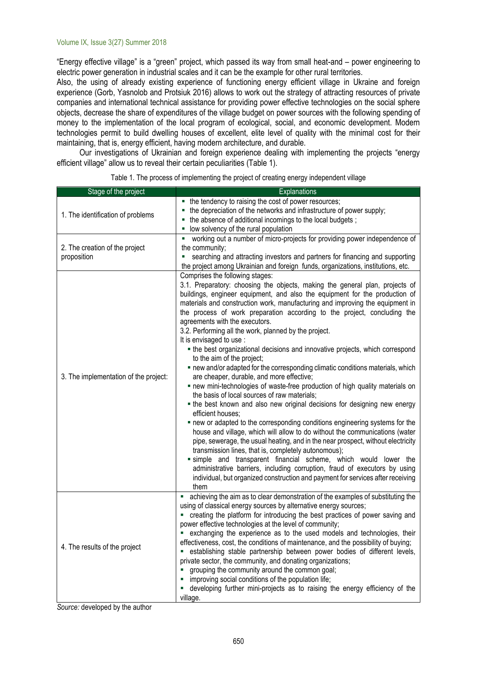"Energy effective village" is a "green" project, which passed its way from small heat-and – power engineering to electric power generation in industrial scales and it can be the example for other rural territories.

Also, the using of already existing experience of functioning energy efficient village in Ukraine and foreign experience (Gorb, Yasnolob and Protsiuk 2016) allows to work out the strategy of attracting resources of private companies and international technical assistance for providing power effective technologies on the social sphere objects, decrease the share of expenditures of the village budget on power sources with the following spending of money to the implementation of the local program of ecological, social, and economic development. Modern technologies permit to build dwelling houses of excellent, elite level of quality with the minimal cost for their maintaining, that is, energy efficient, having modern architecture, and durable.

Our investigations of Ukrainian and foreign experience dealing with implementing the projects "energy efficient village" allow us to reveal their certain peculiarities (Table 1).

| Stage of the project                          | Explanations                                                                                                                                                                                                                                                                                                                                                                                                                                                                                                                                                                                                                                                                                                                                                                                                                                                                                                                                                                                                                                                                                                                                                                                                                                                                                                                                                                                                                                                                                                               |
|-----------------------------------------------|----------------------------------------------------------------------------------------------------------------------------------------------------------------------------------------------------------------------------------------------------------------------------------------------------------------------------------------------------------------------------------------------------------------------------------------------------------------------------------------------------------------------------------------------------------------------------------------------------------------------------------------------------------------------------------------------------------------------------------------------------------------------------------------------------------------------------------------------------------------------------------------------------------------------------------------------------------------------------------------------------------------------------------------------------------------------------------------------------------------------------------------------------------------------------------------------------------------------------------------------------------------------------------------------------------------------------------------------------------------------------------------------------------------------------------------------------------------------------------------------------------------------------|
| 1. The identification of problems             | • the tendency to raising the cost of power resources;<br>the depreciation of the networks and infrastructure of power supply;<br>• the absence of additional incomings to the local budgets;<br>low solvency of the rural population<br>m.                                                                                                                                                                                                                                                                                                                                                                                                                                                                                                                                                                                                                                                                                                                                                                                                                                                                                                                                                                                                                                                                                                                                                                                                                                                                                |
| 2. The creation of the project<br>proposition | working out a number of micro-projects for providing power independence of<br>a,<br>the community;<br>searching and attracting investors and partners for financing and supporting<br>u,<br>the project among Ukrainian and foreign funds, organizations, institutions, etc.                                                                                                                                                                                                                                                                                                                                                                                                                                                                                                                                                                                                                                                                                                                                                                                                                                                                                                                                                                                                                                                                                                                                                                                                                                               |
| 3. The implementation of the project:         | Comprises the following stages:<br>3.1. Preparatory: choosing the objects, making the general plan, projects of<br>buildings, engineer equipment, and also the equipment for the production of<br>materials and construction work, manufacturing and improving the equipment in<br>the process of work preparation according to the project, concluding the<br>agreements with the executors.<br>3.2. Performing all the work, planned by the project.<br>It is envisaged to use :<br>• the best organizational decisions and innovative projects, which correspond<br>to the aim of the project;<br>. new and/or adapted for the corresponding climatic conditions materials, which<br>are cheaper, durable, and more effective;<br>. new mini-technologies of waste-free production of high quality materials on<br>the basis of local sources of raw materials;<br>. the best known and also new original decisions for designing new energy<br>efficient houses;<br>. new or adapted to the corresponding conditions engineering systems for the<br>house and village, which will allow to do without the communications (water<br>pipe, sewerage, the usual heating, and in the near prospect, without electricity<br>transmission lines, that is, completely autonomous);<br>simple and transparent financial scheme, which would lower the<br>administrative barriers, including corruption, fraud of executors by using<br>individual, but organized construction and payment for services after receiving<br>them |
| 4. The results of the project                 | achieving the aim as to clear demonstration of the examples of substituting the<br>using of classical energy sources by alternative energy sources;<br>creating the platform for introducing the best practices of power saving and<br>power effective technologies at the level of community;<br>exchanging the experience as to the used models and technologies, their<br>effectiveness, cost, the conditions of maintenance, and the possibility of buying;<br>establishing stable partnership between power bodies of different levels,<br>private sector, the community, and donating organizations;<br>grouping the community around the common goal;<br>" improving social conditions of the population life;<br>developing further mini-projects as to raising the energy efficiency of the<br>village.                                                                                                                                                                                                                                                                                                                                                                                                                                                                                                                                                                                                                                                                                                           |

Table 1. The process of implementing the project of creating energy independent village

*Source:* developed by the author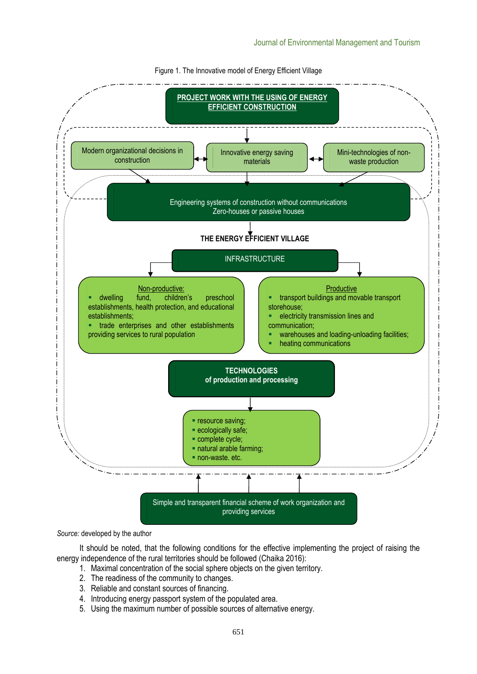

Figure 1. The Innovative model of Energy Efficient Village

*Source:* developed by the author

It should be noted, that the following conditions for the effective implementing the project of raising the energy independence of the rural territories should be followed (Chaika 2016):

- 1. Maximal concentration of the social sphere objects on the given territory.
- 2. The readiness of the community to changes.
- 3. Reliable and constant sources of financing.
- 4. Introducing energy passport system of the populated area.
- 5. Using the maximum number of possible sources of alternative energy.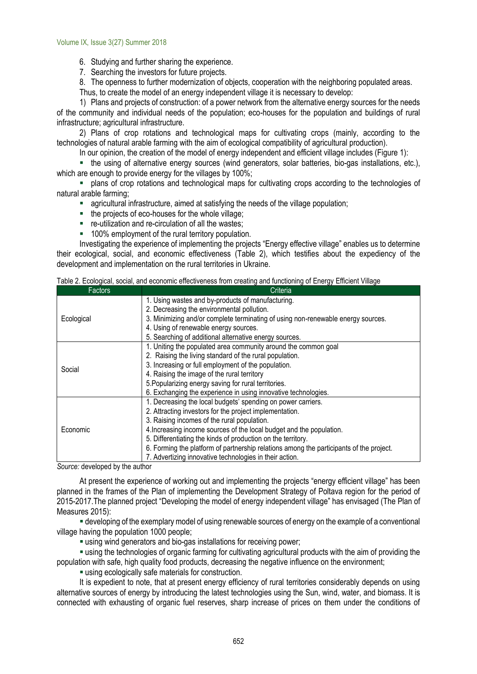6. Studying and further sharing the experience.

7. Searching the investors for future projects.

8. The openness to further modernization of objects, cooperation with the neighboring populated areas. Thus, to create the model of an energy independent village it is necessary to develop:

1) Plans and projects of construction: of a power network from the alternative energy sources for the needs of the community and individual needs of the population; eco-houses for the population and buildings of rural infrastructure; agricultural infrastructure.

2) Plans of crop rotations and technological maps for cultivating crops (mainly, according to the technologies of natural arable farming with the aim of ecological compatibility of agricultural production).

In our opinion, the creation of the model of energy independent and efficient village includes (Figure 1):

▪ the using of alternative energy sources (wind generators, solar batteries, bio-gas installations, etc.), which are enough to provide energy for the villages by 100%;

▪ plans of crop rotations and technological maps for cultivating crops according to the technologies of natural arable farming;

- agricultural infrastructure, aimed at satisfying the needs of the village population;
- the projects of eco-houses for the whole village;
- re-utilization and re-circulation of all the wastes;
- 100% employment of the rural territory population.

Investigating the experience of implementing the projects "Energy effective village" enables us to determine their ecological, social, and economic effectiveness (Table 2), which testifies about the expediency of the development and implementation on the rural territories in Ukraine.

| Factors    | Criteria                                                                                                                                                                                                                         |
|------------|----------------------------------------------------------------------------------------------------------------------------------------------------------------------------------------------------------------------------------|
|            | 1. Using wastes and by-products of manufacturing.                                                                                                                                                                                |
|            | 2. Decreasing the environmental pollution.                                                                                                                                                                                       |
| Ecological | 3. Minimizing and/or complete terminating of using non-renewable energy sources.                                                                                                                                                 |
|            |                                                                                                                                                                                                                                  |
|            | 5. Searching of additional alternative energy sources.                                                                                                                                                                           |
|            | 1. Uniting the populated area community around the common goal                                                                                                                                                                   |
|            | 2. Raising the living standard of the rural population.                                                                                                                                                                          |
|            | 3. Increasing or full employment of the population.                                                                                                                                                                              |
|            | 4. Raising the image of the rural territory                                                                                                                                                                                      |
|            |                                                                                                                                                                                                                                  |
|            | 6. Exchanging the experience in using innovative technologies.                                                                                                                                                                   |
|            | 1. Decreasing the local budgets' spending on power carriers.                                                                                                                                                                     |
|            | 2. Attracting investors for the project implementation.                                                                                                                                                                          |
|            | 3. Raising incomes of the rural population.                                                                                                                                                                                      |
| Economic   |                                                                                                                                                                                                                                  |
|            | 5. Differentiating the kinds of production on the territory.                                                                                                                                                                     |
|            | 6. Forming the platform of partnership relations among the participants of the project.                                                                                                                                          |
|            |                                                                                                                                                                                                                                  |
| Social     | 4. Using of renewable energy sources.<br>5. Popularizing energy saving for rural territories.<br>4. Increasing income sources of the local budget and the population.<br>7. Advertizing innovative technologies in their action. |

|  |  |  | Table 2. Ecological, social, and economic effectiveness from creating and functioning of Energy Efficient Village |  |  |  |  |  |
|--|--|--|-------------------------------------------------------------------------------------------------------------------|--|--|--|--|--|
|--|--|--|-------------------------------------------------------------------------------------------------------------------|--|--|--|--|--|

*Source:* developed by the author

At present the experience of working out and implementing the projects "energy efficient village" has been planned in the frames of the Plan of implementing the Development Strategy of Poltava region for the period of 2015-2017.The planned project "Developing the model of energy independent village" has envisaged (The Plan of Measures 2015):

▪ developing of the exemplary model of using renewable sources of energy on the example of a conventional village having the population 1000 people;

**Example 1** using wind generators and bio-gas installations for receiving power;

▪ using the technologies of organic farming for cultivating agricultural products with the aim of providing the population with safe, high quality food products, decreasing the negative influence on the environment;

**Example 2** using ecologically safe materials for construction.

It is expedient to note, that at present energy efficiency of rural territories considerably depends on using alternative sources of energy by introducing the latest technologies using the Sun, wind, water, and biomass. It is connected with exhausting of organic fuel reserves, sharp increase of prices on them under the conditions of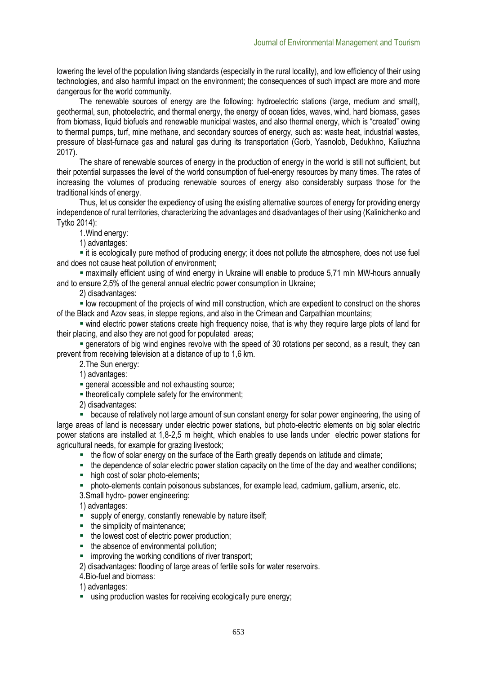lowering the level of the population living standards (especially in the rural locality), and low efficiency of their using technologies, and also harmful impact on the environment; the consequences of such impact are more and more dangerous for the world community.

The renewable sources of energy are the following: hydroelectric stations (large, medium and small), geothermal, sun, photoelectric, and thermal energy, the energy of ocean tides, waves, wind, hard biomass, gases from biomass, liquid biofuels and renewable municipal wastes, and also thermal energy, which is "created" owing to thermal pumps, turf, mine methane, and secondary sources of energy, such as: waste heat, industrial wastes, pressure of blast-furnace gas and natural gas during its transportation (Gorb, Yasnolob, Dedukhno, Kaliuzhna 2017).

The share of renewable sources of energy in the production of energy in the world is still not sufficient, but their potential surpasses the level of the world consumption of fuel-energy resources by many times. The rates of increasing the volumes of producing renewable sources of energy also considerably surpass those for the traditional kinds of energy.

Thus, let us consider the expediency of using the existing alternative sources of energy for providing energy independence of rural territories, characterizing the advantages and disadvantages of their using (Kalinichenko and Tytko 2014):

1.Wind energy:

1) advantages:

▪ it is ecologically pure method of producing energy; it does not pollute the atmosphere, does not use fuel and does not cause heat pollution of environment;

▪ maximally efficient using of wind energy in Ukraine will enable to produce 5,71 mln MW-hours annually and to ensure 2,5% of the general annual electric power consumption in Ukraine;

2) disadvantages:

▪ low recoupment of the projects of wind mill construction, which are expedient to construct on the shores of the Black and Azov seas, in steppe regions, and also in the Crimean and Carpathian mountains;

▪ wind electric power stations create high frequency noise, that is why they require large plots of land for their placing, and also they are not good for populated areas;

▪ generators of big wind engines revolve with the speed of 30 rotations per second, as a result, they can prevent from receiving television at a distance of up to 1,6 km.

2.The Sun energy:

1) advantages:

**Exercise and not exhausting source;** 

**.** theoretically complete safety for the environment;

2) disadvantages:

■ because of relatively not large amount of sun constant energy for solar power engineering, the using of large areas of land is necessary under electric power stations, but photo-electric elements on big solar electric power stations are installed at 1,8-2,5 m height, which enables to use lands under electric power stations for agricultural needs, for example for grazing livestock;

■ the flow of solar energy on the surface of the Earth greatly depends on latitude and climate;

■ the dependence of solar electric power station capacity on the time of the day and weather conditions;

- high cost of solar photo-elements;
- photo-elements contain poisonous substances, for example lead, cadmium, gallium, arsenic, etc.

3.Small hydro- power engineering:

1) advantages:

- supply of energy, constantly renewable by nature itself;
- the simplicity of maintenance;
- the lowest cost of electric power production;
- the absence of environmental pollution;
- improving the working conditions of river transport;

2) disadvantages: flooding of large areas of fertile soils for water reservoirs.

4.Bio-fuel and biomass:

1) advantages:

**E** using production wastes for receiving ecologically pure energy;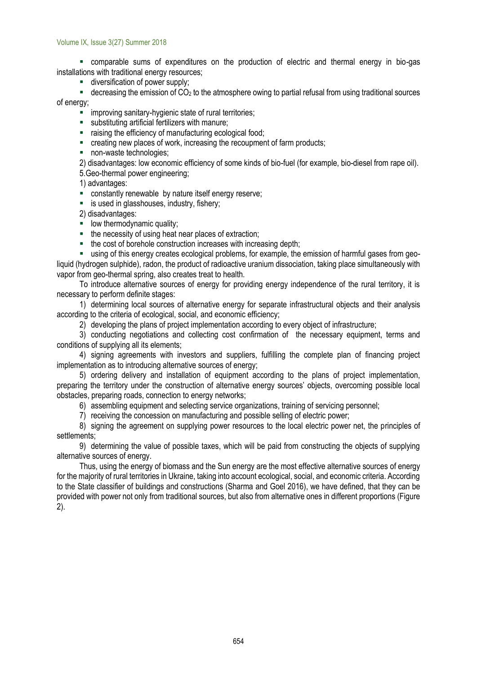#### Volume IX, Issue 3(27) Summer 2018

▪ comparable sums of expenditures on the production of electric and thermal energy in bio-gas installations with traditional energy resources;

**E** diversification of power supply;

 $\bullet$  decreasing the emission of CO<sub>2</sub> to the atmosphere owing to partial refusal from using traditional sources of energy;

**EXECUTE:** improving sanitary-hygienic state of rural territories;

- substituting artificial fertilizers with manure;
- raising the efficiency of manufacturing ecological food;
- creating new places of work, increasing the recoupment of farm products;
- non-waste technologies;

2) disadvantages: low economic efficiency of some kinds of bio-fuel (for example, bio-diesel from rape oil). 5.Geo-thermal power engineering;

1) advantages:

- **EXECONSTANTS CONSTANTS ENGINEER** constantly renewable by nature itself energy reserve;
- is used in glasshouses, industry, fishery;

2) disadvantages:

- **■** low thermodynamic quality;
- the necessity of using heat near places of extraction;
- the cost of borehole construction increases with increasing depth;

▪ using of this energy creates ecological problems, for example, the emission of harmful gases from geoliquid (hydrogen sulphide), radon, the product of radioactive uranium dissociation, taking place simultaneously with vapor from geo-thermal spring, also creates treat to health.

To introduce alternative sources of energy for providing energy independence of the rural territory, it is necessary to perform definite stages:

1) determining local sources of alternative energy for separate infrastructural objects and their analysis according to the criteria of ecological, social, and economic efficiency;

2) developing the plans of project implementation according to every object of infrastructure;

3) conducting negotiations and collecting cost confirmation of the necessary equipment, terms and conditions of supplying all its elements;

4) signing agreements with investors and suppliers, fulfilling the complete plan of financing project implementation as to introducing alternative sources of energy;

5) ordering delivery and installation of equipment according to the plans of project implementation, preparing the territory under the construction of alternative energy sources' objects, overcoming possible local obstacles, preparing roads, connection to energy networks;

6) assembling equipment and selecting service organizations, training of servicing personnel;

7) receiving the concession on manufacturing and possible selling of electric power;

8) signing the agreement on supplying power resources to the local electric power net, the principles of settlements;

9) determining the value of possible taxes, which will be paid from constructing the objects of supplying alternative sources of energy.

Thus, using the energy of biomass and the Sun energy are the most effective alternative sources of energy for the majority of rural territories in Ukraine, taking into account ecological, social, and economic criteria. According to the State classifier of buildings and constructions (Sharma and Goel 2016), we have defined, that they can be provided with power not only from traditional sources, but also from alternative ones in different proportions (Figure 2).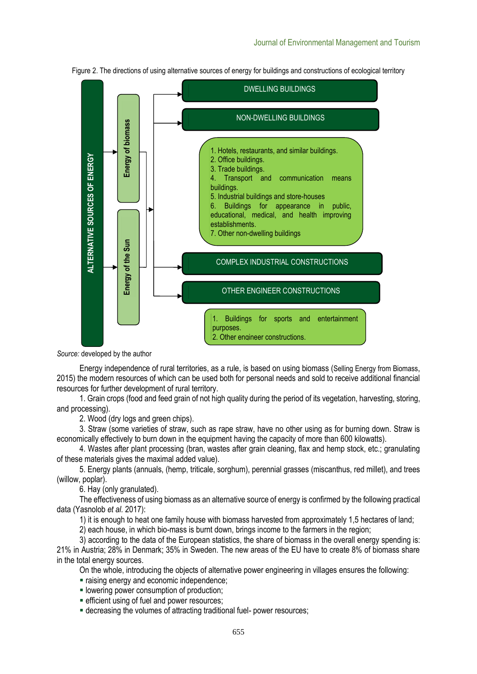

Figure 2. The directions of using alternative sources of energy for buildings and constructions of ecological territory

*Source:* developed by the author

Energy independence of rural territories, as a rule, is based on using biomass (Selling Energy from Biomass, 2015) the modern resources of which can be used both for personal needs and sold to receive additional financial resources for further development of rural territory.

1. Grain crops (food and feed grain of not high quality during the period of its vegetation, harvesting, storing, and processing).

2. Wood (dry logs and green chips).

3. Straw (some varieties of straw, such as rape straw, have no other using as for burning down. Straw is economically effectively to burn down in the equipment having the capacity of more than 600 kilowatts).

4. Wastes after plant processing (bran, wastes after grain cleaning, flax and hemp stock, etc.; granulating of these materials gives the maximal added value).

5. Energy plants (annuals, (hemp, triticale, sorghum), perennial grasses (miscanthus, red millet), and trees (willow, poplar).

6. Hay (only granulated).

The effectiveness of using biomass as an alternative source of energy is confirmed by the following practical data (Yasnolob *et al.* 2017):

1) it is enough to heat one family house with biomass harvested from approximately 1,5 hectares of land;

2) each house, in which bio-mass is burnt down, brings income to the farmers in the region;

3) according to the data of the European statistics, the share of biomass in the overall energy spending is: 21% in Austria; 28% in Denmark; 35% in Sweden. The new areas of the EU have to create 8% of biomass share in the total energy sources.

On the whole, introducing the objects of alternative power engineering in villages ensures the following:

- **·** raising energy and economic independence;
- **E** lowering power consumption of production;
- 
- **EXECTE EFFICIENT USING OF THE AUTOR FE** decreasing the volumes of attracting traditional fuel- power resources;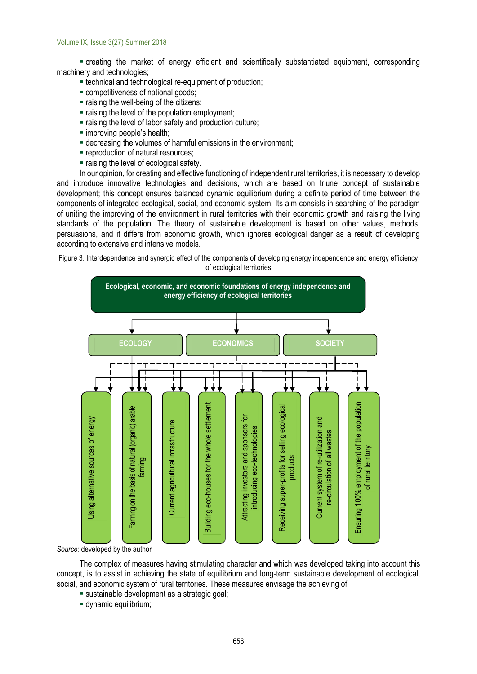▪ creating the market of energy efficient and scientifically substantiated equipment, corresponding machinery and technologies;

- **Exercise 1** technological re-equipment of production;
- **Exercise competitiveness of national goods;**
- **Example 1** raising the well-being of the citizens;
- **Example 1** raising the level of the population employment;
- raising the level of labor safety and production culture;
- improving people's health;
- **Exerceasing the volumes of harmful emissions in the environment;**
- **reproduction of natural resources;**
- raising the level of ecological safety.

In our opinion, for creating and effective functioning of independent rural territories, it is necessary to develop and introduce innovative technologies and decisions, which are based on triune concept of sustainable development; this concept ensures balanced dynamic equilibrium during a definite period of time between the components of integrated ecological, social, and economic system. Its aim consists in searching of the paradigm of uniting the improving of the environment in rural territories with their economic growth and raising the living standards of the population. The theory of sustainable development is based on other values, methods, persuasions, and it differs from economic growth, which ignores ecological danger as a result of developing according to extensive and intensive models.

Figure 3. Interdependence and synergic effect of the components of developing energy independence and energy efficiency of ecological territories



*Source:* developed by the author

The complex of measures having stimulating character and which was developed taking into account this concept, is to assist in achieving the state of equilibrium and long-term sustainable development of ecological, social, and economic system of rural territories. These measures envisage the achieving of:

- **E** sustainable development as a strategic goal;
- dynamic equilibrium;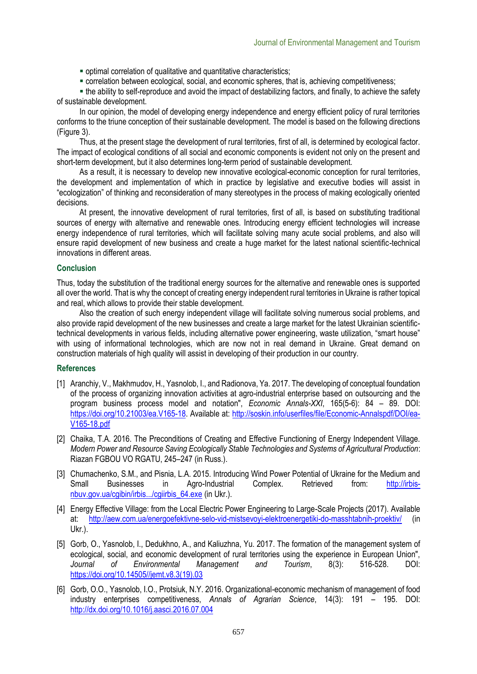- optimal correlation of qualitative and quantitative characteristics;
- correlation between ecological, social, and economic spheres, that is, achieving competitiveness;

. the ability to self-reproduce and avoid the impact of destabilizing factors, and finally, to achieve the safety of sustainable development.

In our opinion, the model of developing energy independence and energy efficient policy of rural territories conforms to the triune conception of their sustainable development. The model is based on the following directions (Figure 3).

Thus, at the present stage the development of rural territories, first of all, is determined by ecological factor. The impact of ecological conditions of all social and economic components is evident not only on the present and short-term development, but it also determines long-term period of sustainable development.

As a result, it is necessary to develop new innovative ecological-economic conception for rural territories, the development and implementation of which in practice by legislative and executive bodies will assist in "ecologization" of thinking and reconsideration of many stereotypes in the process of making ecologically oriented decisions.

At present, the innovative development of rural territories, first of all, is based on substituting traditional sources of energy with alternative and renewable ones. Introducing energy efficient technologies will increase energy independence of rural territories, which will facilitate solving many acute social problems, and also will ensure rapid development of new business and create a huge market for the latest national scientific-technical innovations in different areas.

#### **Conclusion**

Thus, today the substitution of the traditional energy sources for the alternative and renewable ones is supported all over the world. That is why the concept of creating energy independent rural territories in Ukraine is rather topical and real, which allows to provide their stable development.

Also the creation of such energy independent village will facilitate solving numerous social problems, and also provide rapid development of the new businesses and create a large market for the latest Ukrainian scientifictechnical developments in various fields, including alternative power engineering, waste utilization, "smart house" with using of informational technologies, which are now not in real demand in Ukraine. Great demand on construction materials of high quality will assist in developing of their production in our country.

#### **References**

- [1] Aranchiy, V., Makhmudov, H., Yasnolob, I., and Radionova, Ya. 2017. The developing of conceptual foundation of the process of organizing innovation activities at agro-industrial enterprise based on outsourcing and the program business process model and notation", *Economic Annals-XXI*, 165(5-6): 84 – 89. DOI: [https://doi.org/10.21003/ea.V165-18.](https://doi.org/10.21003/ea.V165-18) Available at: [http://soskin.info/userfiles/file/Economic-Annalspdf/DOI/ea-](http://soskin.info/userfiles/file/Economic-Annalspdf/DOI/ea-V165-18.pdf)[V165-18.pdf](http://soskin.info/userfiles/file/Economic-Annalspdf/DOI/ea-V165-18.pdf)
- [2] Chaika, T.A. 2016. The Preconditions of Creating and Effective Functioning of Energy Independent Village. *Modern Power and Resource Saving Ecologically Stable Technologies and Systems of Agricultural Production*: Riazan FGBOU VO RGATU, 245–247 (in Russ.).
- [3] Chumachenko, S.M., and Pisnia, L.A. 2015. Introducing Wind Power Potential of Ukraine for the Medium and<br>Small Businesses in Agro-Industrial Complex. Retrieved from: http://irbis-Small Businesses in Agro-Industrial Complex. Retrieved from: [nbuv.gov.ua/cgibin/irbis.../cgiirbis\\_64.exe](http://irbis-nbuv.gov.ua/cgibin/irbis.../cgiirbis_64.exe) (in Ukr.).
- [4] Energy Effective Village: from the Local Electric Power Engineering to Large-Scale Projects (2017). Available at: <http://aew.com.ua/energoefektivne-selo-vid-mistsevoyi-elektroenergetiki-do-masshtabnih-proektiv/> (in Ukr.).
- [5] Gorb, O., Yasnolob, I., Dedukhno, A., and Kaliuzhna, Yu. 2017. The formation of the management system of ecological, social, and economic development of rural territories using the experience in European Union", *Journal of Environmental Management and Tourism*, 8(3): 516-528. DOI: [https://doi.org/10.14505//jemt.v8.3\(19\).03](https://doi.org/10.14505/jemt.v8.3(19).03)
- [6] Gorb, O.O., Yasnolob, I.O., Protsiuk, N.Y. 2016. Organizational-economic mechanism of management of food industry enterprises competitiveness, *Annals of Agrarian Science*, 14(3): 191 – 195. DOI: <http://dx.doi.org/10.1016/j.aasci.2016.07.004>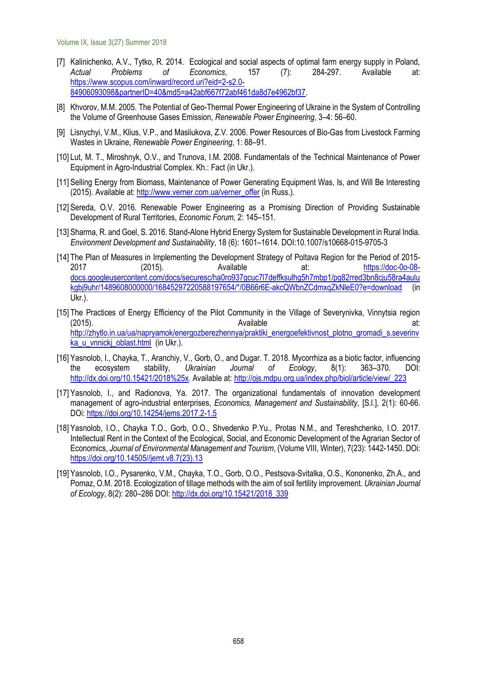Volume IX, Issue 3(27) Summer 2018

- [7] Kalinichenko, A.V., Tytko, R. 2014. Ecological and social aspects of optimal farm energy supply in Poland, *Actual Problems of Economics*, 157 (7): 284-297. Available at: [https://www.scopus.com/inward/record.uri?eid=2-s2.0-](https://www.scopus.com/inward/record.uri?eid=2-s2.0-84906093098&partnerID=40&md5=a42abf667f72abf461da8d7e4962bf37) [84906093098&partnerID=40&md5=a42abf667f72abf461da8d7e4962bf37.](https://www.scopus.com/inward/record.uri?eid=2-s2.0-84906093098&partnerID=40&md5=a42abf667f72abf461da8d7e4962bf37)
- [8] Khvorov, М.М. 2005. The Potential of Geo-Thermal Power Engineering of Ukraine in the System of Controlling the Volume of Greenhouse Gases Emission, *Renewable Power Engineering*, 3–4: 56–60.
- [9] Lisnychyi, V.М., Klius, V.P., and Masliukova, Z.V. 2006. Power Resources of Bio-Gas from Livestock Farming Wastes in Ukraine, *Renewable Power Engineering*, 1: 88–91.
- [10] Lut, М. Т., Miroshnyk, О.V., and Тrunova, І.М. 2008. Fundamentals of the Technical Maintenance of Power Equipment in Agro-Industrial Complex. Kh.: Fact (in Ukr.).
- [11] Selling Energy from Biomass, Maintenance of Power Generating Equipment Was, Is, and Will Be Interesting (2015). Available at[: http://www.verner.com.ua/verner\\_offer](http://www.verner.com.ua/verner_offer) (in Russ.).
- [12] Sereda, O.V. 2016. Renewable Power Engineering as a Promising Direction of Providing Sustainable Development of Rural Territories, *Economic Forum,* 2: 145–151.
- [13] Sharma, R. and Goel, S. 2016. Stand-Alone Hybrid Energy System for Sustainable Development in Rural India. *Environment Development and Sustainability*, 18 (6): 1601–1614. DOI:10.1007/s10668-015-9705-3
- [14] The Plan of Measures in Implementing the Development Strategy of Poltava Region for the Period of 2015- 2017 (2015). Available at: [https://doc-0o-08](https://doc-0o-08-docs.googleusercontent.com/docs/securesc/ha0ro937gcuc7l7deffksulhg5h7mbp1/pg82rred3bn8cju58ra4aulukgbj9uhr/1489608000000/16845297220588197654/*/0B66r6E-akcQWbnZCdmxqZkNleE0?e=download) [docs.googleusercontent.com/docs/securesc/ha0ro937gcuc7l7deffksulhg5h7mbp1/pg82rred3bn8cju58ra4aulu](https://doc-0o-08-docs.googleusercontent.com/docs/securesc/ha0ro937gcuc7l7deffksulhg5h7mbp1/pg82rred3bn8cju58ra4aulukgbj9uhr/1489608000000/16845297220588197654/*/0B66r6E-akcQWbnZCdmxqZkNleE0?e=download) [kgbj9uhr/1489608000000/16845297220588197654/\\*/0B66r6E-akcQWbnZCdmxqZkNleE0?e=download](https://doc-0o-08-docs.googleusercontent.com/docs/securesc/ha0ro937gcuc7l7deffksulhg5h7mbp1/pg82rred3bn8cju58ra4aulukgbj9uhr/1489608000000/16845297220588197654/*/0B66r6E-akcQWbnZCdmxqZkNleE0?e=download) (in Ukr.).
- [15] The Practices of Energy Efficiency of the Pilot Community in the Village of Severynivka, Vinnytsia region (2015). Available at: [http://zhytlo.in.ua/ua/napryamok/energozberezhennya/praktiki\\_energoefektivnost\\_plotno\\_gromadi\\_s.severinv](http://zhytlo.in.ua/ua/napryamok/energozberezhennya/praktiki_energoefektivnost_plotno_gromadi_s.severinvka_u_vnnickj_oblast.html) [ka\\_u\\_vnnickj\\_oblast.html](http://zhytlo.in.ua/ua/napryamok/energozberezhennya/praktiki_energoefektivnost_plotno_gromadi_s.severinvka_u_vnnickj_oblast.html) (in Ukr.).
- [16] Yasnolob, I., Chayka, T., Aranchiy, V., Gorb, O., and Dugar. T. 2018. Mycorrhiza as a biotic factor, influencing the ecosystem stability, *Ukrainian Journal of Ecology*, 8(1): 363–370. DOI: [http://dx.doi.org/10.15421/2018%25x.](http://dx.doi.org/10.15421/2018%25x) Available at: [http://ojs.mdpu.org.ua/index.php/biol/article/view/\\_223](http://ojs.mdpu.org.ua/index.php/biol/article/view/_223)
- [17] Yasnolob, I., and Radionova, Ya. 2017. The organizational fundamentals of innovation development management of agro-industrial enterprises, *Economics, Management and Sustainability*, [S.l.], 2(1): 60-66. DOi: <https://doi.org/10.14254/jems.2017.2-1.5>
- [18] Yasnolob, I.O., Chayka T.O., Gorb, O.O., Shvedenko P.Yu., Protas N.M., and Tereshchenko, I.O. 2017. Intellectual Rent in the Context of the Ecological, Social, and Economic Development of the Agrarian Sector of Economics, *Journal of Environmental Management and Tourism*, (Volume VIII, Winter), 7(23): 1442-1450. DOi: [https://doi.org/10.14505//jemt.v8.7\(23\).13](https://doi.org/10.14505/jemt.v8.7(23).13)
- [19] Yasnolob, I.O., Pysarenko, V.M., Chayka, T.O., Gorb, O.O., Pestsova-Svitalka, O.S., Kononenko, Zh.A., and Pomaz, O.M. 2018. Ecologization of tillage methods with the aim of soil fertility improvement. *Ukrainian Journal of Ecology*, 8(2): 280–286 DOI: [http://dx.doi.org/10.15421/2018\\_339](http://dx.doi.org/10.15421/2018_339)